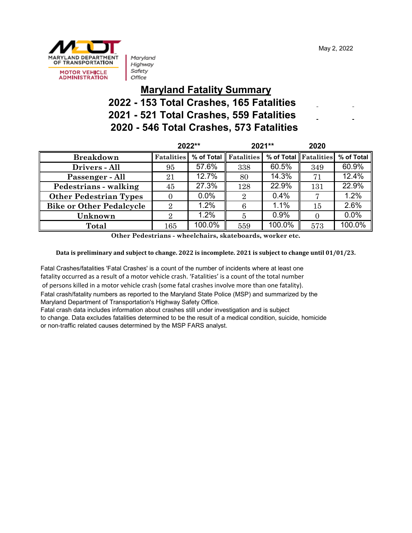May 2, 2022



Maryland Highway Safety Office

#### **Maryland Fatality Summary 2022 - 153 Total Crashes, 165 Fatalities 2021 - 521 Total Crashes, 559 Fatalities 2020 - 546 Total Crashes, 573 Fatalities**

|                                 | 2022**            |            | 2021**            |        | 2020                  |                      |
|---------------------------------|-------------------|------------|-------------------|--------|-----------------------|----------------------|
| <b>Breakdown</b>                | <b>Fatalities</b> | % of Total | <b>Fatalities</b> |        | % of Total Fatalities | % of Total           |
| Drivers - All                   | 95                | 57.6%      | 338               | 60.5%  | 349                   | 60.9%                |
| Passenger - All                 | 21                | 12.7%      | 80                | 14.3%  | 71                    | 12.4%                |
| Pedestrians - walking           | 45                | 27.3%      | 128               | 22.9%  | 131                   | 22.9%                |
| <b>Other Pedestrian Types</b>   |                   | 0.0%       | $\overline{2}$    | 0.4%   |                       | 1.2%                 |
| <b>Bike or Other Pedalcycle</b> | $\Omega$          | 1.2%       | 6                 | 1.1%   | 15                    | 2.6%                 |
| Unknown                         | റ                 | 1.2%       | 5                 | 0.9%   |                       | 0.0%                 |
| <b>Total</b>                    | 165               | 100.0%     | 559               | 100.0% | 573                   | $100.\overline{0\%}$ |

**Other Pedestrians - wheelchairs, skateboards, worker etc.**

**Data is preliminary and subject to change. 2022 is incomplete. 2021 is subject to change until 01/01/23.**

Fatal Crashes/fatalities 'Fatal Crashes' is a count of the number of incidents where at least one fatality occurred as a result of a motor vehicle crash. 'Fatalities' is a count of the total number of persons killed in a motor vehicle crash (some fatal crashes involve more than one fatality). Fatal crash/fatality numbers as reported to the Maryland State Police (MSP) and summarized by the Maryland Department of Transportation's Highway Safety Office.

Fatal crash data includes information about crashes still under investigation and is subject

to change. Data excludes fatalities determined to be the result of a medical condition, suicide, homicide or non-traffic related causes determined by the MSP FARS analyst.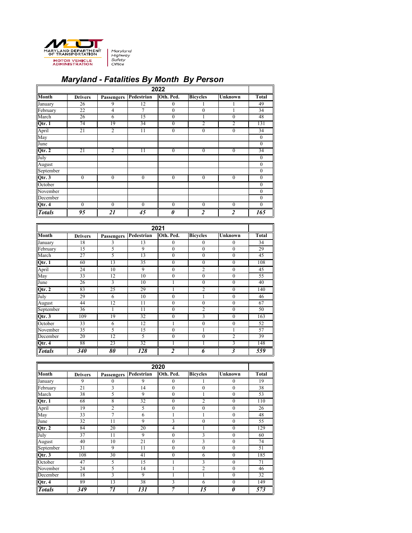

# *Maryland - Fatalities By Month By Person*

| 2022          |                 |                   |                |                  |                  |                  |                  |
|---------------|-----------------|-------------------|----------------|------------------|------------------|------------------|------------------|
| <b>Month</b>  | <b>Drivers</b>  | <b>Passengers</b> | Pedestrian     | Oth. Ped.        | <b>Bicycles</b>  | <b>Unknown</b>   | <b>Total</b>     |
| January       | 26              | 9                 | 12             | $\mathbf{0}$     |                  |                  | 49               |
| February      | 22              | 4                 | 7              | $\boldsymbol{0}$ | $\boldsymbol{0}$ |                  | 34               |
| March         | 26              | 6                 | 15             | $\theta$         | 1                | $\boldsymbol{0}$ | 48               |
| Qtr. 1        | $\overline{74}$ | 19                | 34             | $\theta$         | 2                | $\overline{2}$   | 131              |
| April         | 21              | 2                 | 11             | $\theta$         | $\boldsymbol{0}$ | $\boldsymbol{0}$ | 34               |
| May           |                 |                   |                |                  |                  |                  | $\boldsymbol{0}$ |
| June          |                 |                   |                |                  |                  |                  | $\boldsymbol{0}$ |
| Qtr. 2        | 21              | 2                 | 11             | $\theta$         | $\mathbf{0}$     | $\mathbf{0}$     | $\overline{34}$  |
| July          |                 |                   |                |                  |                  |                  | $\boldsymbol{0}$ |
| August        |                 |                   |                |                  |                  |                  | $\boldsymbol{0}$ |
| September     |                 |                   |                |                  |                  |                  | $\boldsymbol{0}$ |
| Qtr. 3        | $\overline{0}$  | $\overline{0}$    | $\overline{0}$ | $\mathbf{0}$     | $\overline{0}$   | $\overline{0}$   | $\overline{0}$   |
| October       |                 |                   |                |                  |                  |                  | $\boldsymbol{0}$ |
| November      |                 |                   |                |                  |                  |                  | $\boldsymbol{0}$ |
| December      |                 |                   |                |                  |                  |                  | $\boldsymbol{0}$ |
| Qtr. 4        | $\overline{0}$  | $\mathbf{0}$      | $\theta$       | $\mathbf{0}$     | $\overline{0}$   | $\boldsymbol{0}$ | $\boldsymbol{0}$ |
| <b>Totals</b> | 95              | 21                | 45             | 0                | $\overline{2}$   | $\overline{2}$   | 165              |

| 2021          |                 |                   |                 |                  |                  |                         |                 |
|---------------|-----------------|-------------------|-----------------|------------------|------------------|-------------------------|-----------------|
| <b>Month</b>  | <b>Drivers</b>  | <b>Passengers</b> | Pedestrian      | Oth. Ped.        | <b>Bicycles</b>  | <b>Unknown</b>          | <b>Total</b>    |
| January       | 18              | 3                 | 13              | $\overline{0}$   | $\overline{0}$   | $\theta$                | 34              |
| February      | 15              | 5                 | 9               | $\overline{0}$   | $\boldsymbol{0}$ | $\theta$                | 29              |
| March         | 27              | 5                 | 13              | $\overline{0}$   | $\overline{0}$   | $\mathbf{0}$            | $\overline{45}$ |
| Qtr. 1        | 60              | 13                | 35              | $\theta$         | $\theta$         | $\theta$                | 108             |
| April         | $\overline{24}$ | $\overline{10}$   | 9               | $\boldsymbol{0}$ | $\overline{2}$   | $\boldsymbol{0}$        | $\overline{45}$ |
| May           | 33              | 12                | 10              | $\overline{0}$   | $\theta$         | $\boldsymbol{0}$        | 55              |
| June          | 26              | 3                 | 10              |                  | $\boldsymbol{0}$ | $\boldsymbol{0}$        | 40              |
| Qtr. 2        | 83              | 25                | 29              |                  | $\overline{2}$   | $\boldsymbol{0}$        | 140             |
| July          | 29              | 6                 | $\overline{10}$ | 0                |                  | $\overline{0}$          | 46              |
| August        | 44              | 12                | 11              | $\overline{0}$   | $\theta$         | $\boldsymbol{0}$        | 67              |
| September     | 36              |                   | 11              | $\overline{0}$   | $\overline{2}$   | $\boldsymbol{0}$        | 50              |
| Qtr. 3        | 109             | 19                | 32              | 0                | 3                | $\theta$                | 163             |
| October       | 33              | 6                 | $\overline{12}$ |                  | $\theta$         | $\overline{0}$          | 52              |
| November      | 35              | 5                 | 15              | $\boldsymbol{0}$ |                  |                         | 57              |
| December      | 20              | 12                | 5               | 0                | $\boldsymbol{0}$ | $\overline{2}$          | $\overline{39}$ |
| Qtr. 4        | 88              | 23                | $\overline{32}$ |                  |                  | 3                       | 148             |
| <b>Totals</b> | 340             | 80                | 128             | $\overline{2}$   | 6                | $\overline{\mathbf{3}}$ | 559             |

| 2020          |                  |                   |                 |                  |                  |                  |                 |
|---------------|------------------|-------------------|-----------------|------------------|------------------|------------------|-----------------|
| <b>Month</b>  | <b>Drivers</b>   | <b>Passengers</b> | Pedestrian      | Oth. Ped.        | <b>Bicycles</b>  | <b>Unknown</b>   | <b>Total</b>    |
| January       | 9                | 0                 | 9               | 0                |                  | $\boldsymbol{0}$ | 19              |
| February      | 21               | 3                 | 14              | $\boldsymbol{0}$ | $\overline{0}$   | $\boldsymbol{0}$ | 38              |
| March         | $\overline{38}$  | 5                 | 9               | $\theta$         |                  | $\boldsymbol{0}$ | $\overline{53}$ |
| Qtr. 1        | 68               | 8                 | 32              | $\theta$         | $\overline{2}$   | $\boldsymbol{0}$ | 110             |
| April         | $\overline{19}$  | 2                 | 5               | $\theta$         | $\boldsymbol{0}$ | $\boldsymbol{0}$ | 26              |
| May           | 33               | 7                 | 6               |                  |                  | $\boldsymbol{0}$ | 48              |
| June          | 32               | 11                | 9               | 3                | $\theta$         | $\boldsymbol{0}$ | $\overline{55}$ |
| Qtr. 2        | 84               | 20                | 20              | 4                |                  | $\theta$         | 129             |
| July          | $\overline{37}$  | 11                | 9               | $\boldsymbol{0}$ | 3                | $\boldsymbol{0}$ | 60              |
| August        | 40               | 10                | 21              | $\boldsymbol{0}$ | 3                | $\boldsymbol{0}$ | 74              |
| September     | 31               | 9                 | 11              | $\theta$         | $\boldsymbol{0}$ | $\boldsymbol{0}$ | 51              |
| Qtr. 3        | 108              | 30                | $\overline{41}$ | 0                | 6                | $\theta$         | 185             |
| October       | 47               | 5                 | 15              |                  | 3                | $\boldsymbol{0}$ | $\overline{71}$ |
| November      | 24               | 5                 | 14              |                  | $\overline{2}$   | $\boldsymbol{0}$ | 46              |
| December      | 18               | 3                 | 9               |                  |                  | $\boldsymbol{0}$ | $\overline{32}$ |
| Qtr. 4        | 89               | 13                | 38              | 3                | 6                | $\mathbf{0}$     | 149             |
| <b>Totals</b> | $\overline{349}$ | 71                | 131             | 7                | 15               | 0                | 573             |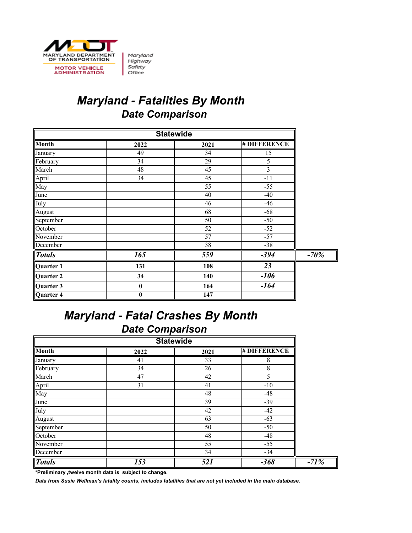

## *Maryland - Fatalities By Month Date Comparison*

| <b>Statewide</b> |                  |                 |                    |        |  |
|------------------|------------------|-----------------|--------------------|--------|--|
| <b>Month</b>     | 2022             | 2021            | <b>#DIFFERENCE</b> |        |  |
| January          | 49               | 34              | 15                 |        |  |
| February         | 34               | 29              | 5                  |        |  |
| March            | 48               | 45              | 3                  |        |  |
| April            | 34               | 45              | $-11$              |        |  |
| May              |                  | 55              | $-55$              |        |  |
| June             |                  | 40              | $-40$              |        |  |
| July             |                  | 46              | $-46$              |        |  |
| August           |                  | 68              | $-68$              |        |  |
| September        |                  | 50              | $-50$              |        |  |
| October          |                  | 52              | $-52$              |        |  |
| November         |                  | 57              | $-57$              |        |  |
| December         |                  | $\overline{38}$ | $-38$              |        |  |
| <b>Totals</b>    | $\overline{165}$ | 559             | $-394$             | $-70%$ |  |
| Quarter 1        | 131              | 108             | 23                 |        |  |
| Quarter 2        | 34               | 140             | $-106$             |        |  |
| Quarter 3        | $\boldsymbol{0}$ | 164             | $-164$             |        |  |
| Quarter 4        | $\bf{0}$         | 147             |                    |        |  |

#### *Maryland - Fatal Crashes By Month Date Comparison*

| <b>Statewide</b> |      |                 |                    |  |  |  |  |
|------------------|------|-----------------|--------------------|--|--|--|--|
| <b>Month</b>     | 2022 | 2021            | <b>#DIFFERENCE</b> |  |  |  |  |
| January          | 41   | 33              | 8                  |  |  |  |  |
| February         | 34   | 26              | 8                  |  |  |  |  |
| March            | 47   | 42              | 5                  |  |  |  |  |
| April<br>May     | 31   | 41              | $-10$              |  |  |  |  |
|                  |      | 48              | $-48$              |  |  |  |  |
| June             |      | 39              | $-39$              |  |  |  |  |
| July             |      | 42              | $-42$              |  |  |  |  |
| August           |      | 63              | $-63$              |  |  |  |  |
| September        |      | 50              | $-50$              |  |  |  |  |
| October          |      | 48              | $-48$              |  |  |  |  |
| November         |      | 55              | $-55$              |  |  |  |  |
| December         |      | $\overline{34}$ | $-34$              |  |  |  |  |
| <b>Totals</b>    | 153  | 521             | $-368$             |  |  |  |  |

**\*Preliminary ,twelve month data is subject to change.**

*Data from Susie Wellman's fatality counts, includes fatalities that are not yet included in the main database.*